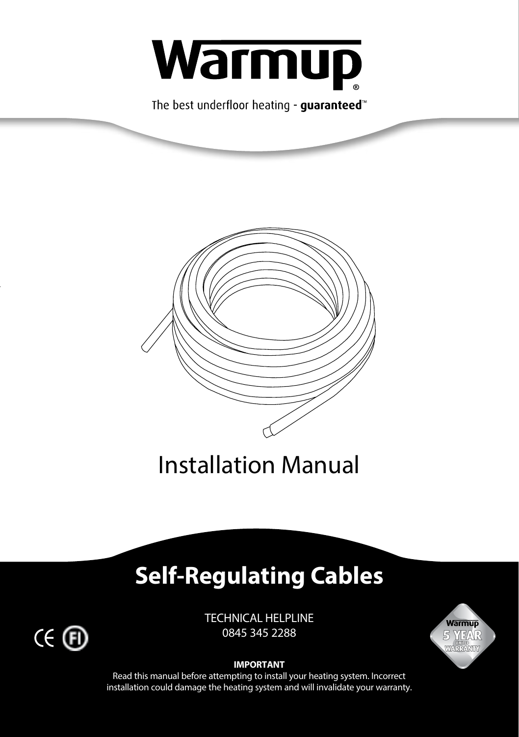

The best underfloor heating - quaranteed<sup>\*</sup>



Installation Manual

# **Self-Regulating Cables**

TECHNICAL HELPLINE 0845 345 2288





Read this manual before attempting to install your heating system. Incorrect installation could damage the heating system and will invalidate your warranty.

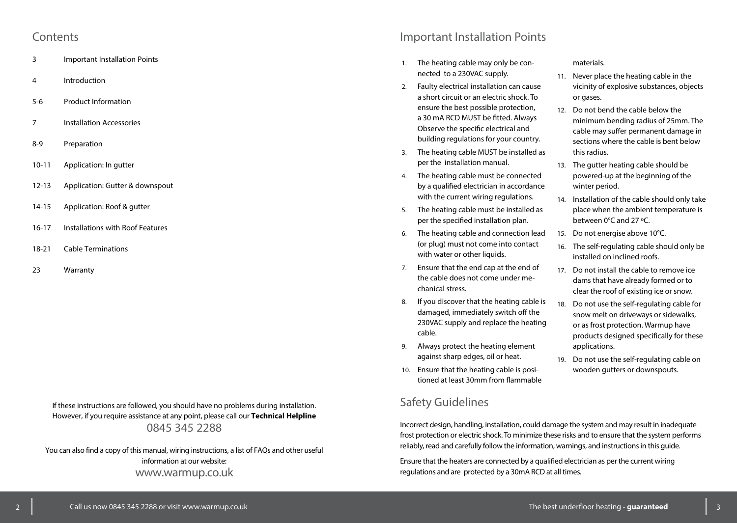#### **Contents**

- 3 Important Installation Points
- 4 Introduction
- 5-6 Product Information
- 7 Installation Accessories
- 8-9 Preparation
- 10-11 Application: In gutter
- 12-13 Application: Gutter & downspout
- 14-15 Application: Roof & gutter
- 16-17 Installations with Roof Features
- 18-21 Cable Terminations
- 23 Warranty

If these instructions are followed, you should have no problems during installation. However, if you require assistance at any point, please call our **Technical Helpline** 0845 345 2288

You can also find a copy of this manual, wiring instructions, a list of FAQs and other useful information at our website: www.warmup.co.uk

## Important Installation Points

- 1. The heating cable may only be connected to a 230VAC supply.
- 2. Faulty electrical installation can cause a short circuit or an electric shock. To ensure the best possible protection, a 30 mA RCD MUST be fitted. Always Observe the specific electrical and building regulations for your country.
- 3. The heating cable MUST be installed as per the installation manual.
- 4. The heating cable must be connected by a qualified electrician in accordance with the current wiring regulations.
- 5. The heating cable must be installed as per the specified installation plan.
- 6. The heating cable and connection lead (or plug) must not come into contact with water or other liquids.
- 7. Ensure that the end cap at the end of the cable does not come under mechanical stress.
- 8. If you discover that the heating cable is damaged, immediately switch off the 230VAC supply and replace the heating cable.
- 9. Always protect the heating element against sharp edges, oil or heat.
- 10. Ensure that the heating cable is positioned at least 30mm from flammable

## Safety Guidelines

Incorrect design, handling, installation, could damage the system and may result in inadequate frost protection or electric shock. To minimize these risks and to ensure that the system performs reliably, read and carefully follow the information, warnings, and instructions in this guide.

Ensure that the heaters are connected by a qualified electrician as per the current wiring regulations and are protected by a 30mA RCD at all times.

materials.

- 11. Never place the heating cable in the vicinity of explosive substances, objects or gases.
- 12. Do not bend the cable below the minimum bending radius of 25mm. The cable may suffer permanent damage in sections where the cable is bent below this radius.
- 13. The gutter heating cable should be powered-up at the beginning of the winter period.
- 14. Installation of the cable should only take place when the ambient temperature is between 0°C and 27 ºC.
- 15. Do not energise above 10°C.
- 16. The self-regulating cable should only be installed on inclined roofs.
- 17. Do not install the cable to remove ice dams that have already formed or to clear the roof of existing ice or snow.
- 18. Do not use the self-regulating cable for snow melt on driveways or sidewalks, or as frost protection. Warmup have products designed specifically for these applications.
- 19. Do not use the self-regulating cable on wooden gutters or downspouts.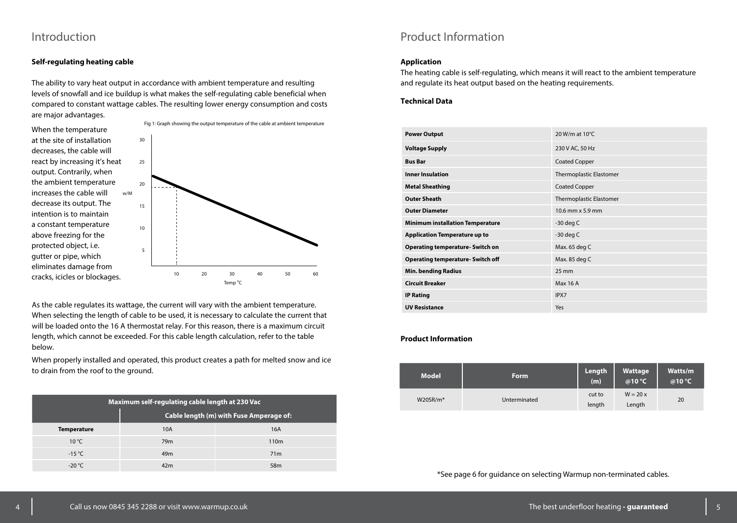## Introduction

#### **Self-regulating heating cable**

The ability to vary heat output in accordance with ambient temperature and resulting levels of snowfall and ice buildup is what makes the self-regulating cable beneficial when compared to constant wattage cables. The resulting lower energy consumption and costs are major advantages.



As the cable regulates its wattage, the current will vary with the ambient temperature. When selecting the length of cable to be used, it is necessary to calculate the current that will be loaded onto the 16 A thermostat relay. For this reason, there is a maximum circuit length, which cannot be exceeded. For this cable length calculation, refer to the table below.

When properly installed and operated, this product creates a path for melted snow and ice to drain from the roof to the ground.

| Maximum self-regulating cable length at 230 Vac |                                         |                  |  |
|-------------------------------------------------|-----------------------------------------|------------------|--|
|                                                 | Cable length (m) with Fuse Amperage of: |                  |  |
| <b>Temperature</b>                              | 10A                                     | 16A              |  |
| $10^{\circ}$ C                                  | 79 <sub>m</sub>                         | 110 <sub>m</sub> |  |
| $-15^{\circ}$ C                                 | 49 <sub>m</sub>                         | 71 <sub>m</sub>  |  |
| $-20 °C$                                        | 42 <sub>m</sub>                         | 58m              |  |

## Product Information

#### **Application**

The heating cable is self-regulating, which means it will react to the ambient temperature and regulate its heat output based on the heating requirements.

#### **Technical Data**

| <b>Power Output</b>                      | 20 W/m at $10^{\circ}$ C |
|------------------------------------------|--------------------------|
| <b>Voltage Supply</b>                    | 230 V AC, 50 Hz          |
| <b>Bus Bar</b>                           | <b>Coated Copper</b>     |
| <b>Inner Insulation</b>                  | Thermoplastic Elastomer  |
| <b>Metal Sheathing</b>                   | <b>Coated Copper</b>     |
| <b>Outer Sheath</b>                      | Thermoplastic Elastomer  |
| <b>Outer Diameter</b>                    | 10.6 mm x 5.9 mm         |
| <b>Minimum installation Temperature</b>  | $-30$ deg C              |
| <b>Application Temperature up to</b>     | $-30$ deg C              |
| <b>Operating temperature-Switch on</b>   | Max. 65 deg C            |
| <b>Operating temperature- Switch off</b> | Max. 85 deg C            |
| <b>Min. bending Radius</b>               | $25 \text{ mm}$          |
| <b>Circuit Breaker</b>                   | Max 16 A                 |
| <b>IP Rating</b>                         | IPX7                     |
| <b>UV Resistance</b>                     | Yes                      |

#### **Product Information**

| <b>Model</b>            | <b>Form</b>  | Length<br>(m)    | Wattage<br>@10 °C   | Watts/m<br>@10 °C |
|-------------------------|--------------|------------------|---------------------|-------------------|
| $W20$ SR/m <sup>*</sup> | Unterminated | cut to<br>length | $W = 20x$<br>Length | 20                |

\*See page 6 for guidance on selecting Warmup non-terminated cables.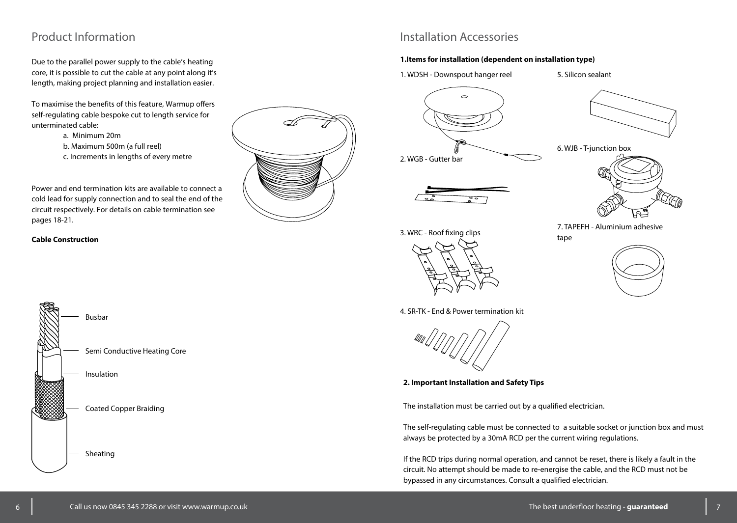## Product Information

Due to the parallel power supply to the cable's heating core, it is possible to cut the cable at any point along it's length, making project planning and installation easier.

To maximise the benefits of this feature, Warmup offers self-regulating cable bespoke cut to length service for unterminated cable:

- a. Minimum 20m
- b. Maximum 500m (a full reel)
- c. Increments in lengths of every metre

Power and end termination kits are available to connect a cold lead for supply connection and to seal the end of the circuit respectively. For details on cable termination see pages 18-21.

#### **Cable Construction**





## Installation Accessories

#### **1.Items for installation (dependent on installation type)**

1. WDSH - Downspout hanger reel

5. Silicon sealant









3. WRC - Roof fixing clips



7. TAPEFH - Aluminium adhesive tape



4. SR-TK - End & Power termination kit



**2. Important Installation and Safety Tips**

The installation must be carried out by a qualified electrician.

The self-regulating cable must be connected to a suitable socket or junction box and must always be protected by a 30mA RCD per the current wiring regulations.

If the RCD trips during normal operation, and cannot be reset, there is likely a fault in the circuit. No attempt should be made to re-energise the cable, and the RCD must not be bypassed in any circumstances. Consult a qualified electrician.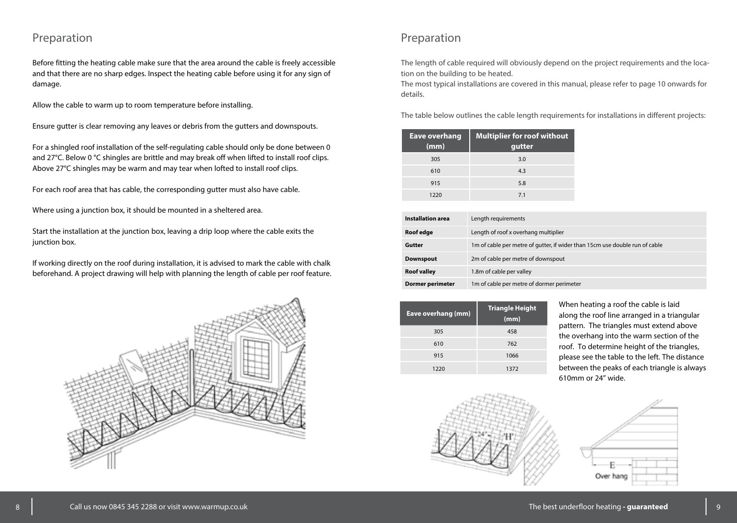## Preparation

Before fitting the heating cable make sure that the area around the cable is freely accessible and that there are no sharp edges. Inspect the heating cable before using it for any sign of damage.

Allow the cable to warm up to room temperature before installing.

Ensure gutter is clear removing any leaves or debris from the gutters and downspouts.

For a shingled roof installation of the self-regulating cable should only be done between 0 and 27°C. Below 0 °C shingles are brittle and may break off when lifted to install roof clips. Above 27°C shingles may be warm and may tear when lofted to install roof clips.

For each roof area that has cable, the corresponding gutter must also have cable.

Where using a junction box, it should be mounted in a sheltered area.

Start the installation at the junction box, leaving a drip loop where the cable exits the junction box.

If working directly on the roof during installation, it is advised to mark the cable with chalk beforehand. A project drawing will help with planning the length of cable per roof feature.



## Preparation

The length of cable required will obviously depend on the project requirements and the location on the building to be heated.

The most typical installations are covered in this manual, please refer to page 10 onwards for details.

The table below outlines the cable length requirements for installations in different projects:

| <b>Eave overhang</b><br>(mm) | Multiplier for roof without<br>gutter |
|------------------------------|---------------------------------------|
| 305                          | 3.0                                   |
| 610                          | 4.3                                   |
| 915                          | 5.8                                   |
| 1220                         | 7.1                                   |

| <b>Installation area</b> | Length requirements                                                         |
|--------------------------|-----------------------------------------------------------------------------|
| Roof edge                | Length of roof x overhang multiplier                                        |
| Gutter                   | 1m of cable per metre of gutter, if wider than 15cm use double run of cable |
| <b>Downspout</b>         | 2m of cable per metre of downspout                                          |
| <b>Roof valley</b>       | 1.8m of cable per valley                                                    |
| <b>Dormer perimeter</b>  | 1m of cable per metre of dormer perimeter                                   |

| Eave overhang (mm) | <b>Triangle Height</b><br>(mm) |  |
|--------------------|--------------------------------|--|
| 305                | 458                            |  |
| 610                | 762                            |  |
| 915                | 1066                           |  |
| 1220               | 1372                           |  |
|                    |                                |  |



When heating a roof the cable is laid along the roof line arranged in a triangular pattern. The triangles must extend above the overhang into the warm section of the roof. To determine height of the triangles, please see the table to the left. The distance between the peaks of each triangle is always 610mm or 24" wide.

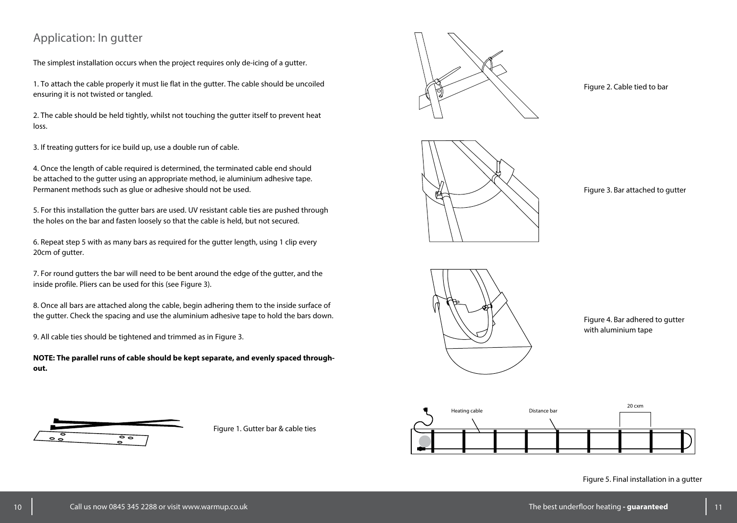## Application: In gutter

The simplest installation occurs when the project requires only de-icing of a gutter.

1. To attach the cable properly it must lie flat in the gutter. The cable should be uncoiled ensuring it is not twisted or tangled.

2. The cable should be held tightly, whilst not touching the gutter itself to prevent heat loss.

3. If treating gutters for ice build up, use a double run of cable.

4. Once the length of cable required is determined, the terminated cable end should be attached to the gutter using an appropriate method, ie aluminium adhesive tape. Permanent methods such as glue or adhesive should not be used.

5. For this installation the gutter bars are used. UV resistant cable ties are pushed through the holes on the bar and fasten loosely so that the cable is held, but not secured.

6. Repeat step 5 with as many bars as required for the gutter length, using 1 clip every 20cm of gutter.

7. For round gutters the bar will need to be bent around the edge of the gutter, and the inside profile. Pliers can be used for this (see Figure 3).

8. Once all bars are attached along the cable, begin adhering them to the inside surface of the gutter. Check the spacing and use the aluminium adhesive tape to hold the bars down.

9. All cable ties should be tightened and trimmed as in Figure 3.

**NOTE: The parallel runs of cable should be kept separate, and evenly spaced throughout.**



Figure 1. Gutter bar & cable ties





Figure 3. Bar attached to gutter

Figure 2. Cable tied to bar



Figure 4. Bar adhered to gutter with aluminium tape



Figure 5. Final installation in a gutter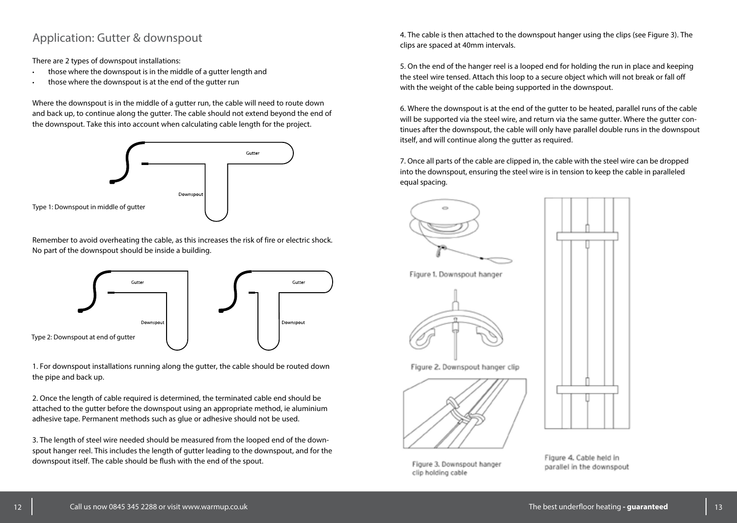## Application: Gutter & downspout

There are 2 types of downspout installations:

- those where the downspout is in the middle of a gutter length and
- those where the downspout is at the end of the gutter run

Where the downspout is in the middle of a gutter run, the cable will need to route down and back up, to continue along the gutter. The cable should not extend beyond the end of the downspout. Take this into account when calculating cable length for the project.



Remember to avoid overheating the cable, as this increases the risk of fire or electric shock. No part of the downspout should be inside a building.



1. For downspout installations running along the gutter, the cable should be routed down the pipe and back up.

2. Once the length of cable required is determined, the terminated cable end should be attached to the gutter before the downspout using an appropriate method, ie aluminium adhesive tape. Permanent methods such as glue or adhesive should not be used.

3. The length of steel wire needed should be measured from the looped end of the downspout hanger reel. This includes the length of gutter leading to the downspout, and for the downspout itself. The cable should be flush with the end of the spout.

4. The cable is then attached to the downspout hanger using the clips (see Figure 3). The clips are spaced at 40mm intervals.

5. On the end of the hanger reel is a looped end for holding the run in place and keeping the steel wire tensed. Attach this loop to a secure object which will not break or fall off with the weight of the cable being supported in the downspout.

6. Where the downspout is at the end of the gutter to be heated, parallel runs of the cable will be supported via the steel wire, and return via the same gutter. Where the gutter continues after the downspout, the cable will only have parallel double runs in the downspout itself, and will continue along the gutter as required.

7. Once all parts of the cable are clipped in, the cable with the steel wire can be dropped into the downspout, ensuring the steel wire is in tension to keep the cable in paralleled equal spacing.





Figure 3, Downspout hanger clip holding cable

Figure 4. Cable held in parallel in the downspout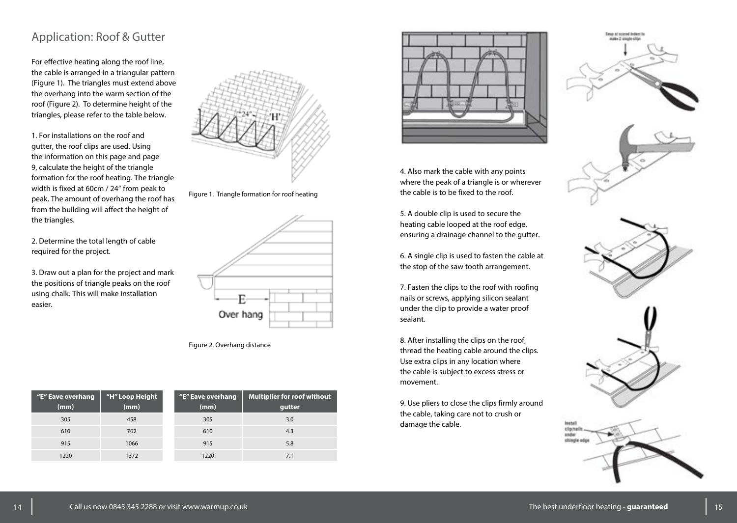## Application: Roof & Gutter

For effective heating along the roof line, the cable is arranged in a triangular pattern (Figure 1). The triangles must extend above the overhang into the warm section of the roof (Figure 2). To determine height of the triangles, please refer to the table below.

1. For installations on the roof and gutter, the roof clips are used. Using the information on this page and page 9, calculate the height of the triangle formation for the roof heating. The triangle width is fixed at 60cm / 24" from peak to peak. The amount of overhang the roof has from the building will affect the height of the triangles.

2. Determine the total length of cable required for the project.

3. Draw out a plan for the project and mark the positions of triangle peaks on the roof using chalk. This will make installation easier.



Figure 1. Triangle formation for roof heating



Figure 2. Overhang distance

| "E" Eave overhang<br>(mm) | "H" Loop Height<br>(mm) | "E" Eave overhang<br>(mm) | <b>Multiplier for roof without</b><br>gutter |
|---------------------------|-------------------------|---------------------------|----------------------------------------------|
| 305                       | 458                     | 305                       | 3.0                                          |
| 610                       | 762                     | 610                       | 4.3                                          |
| 915                       | 1066                    | 915                       | 5.8                                          |
| 1220                      | 1372                    | 1220                      | 7.1                                          |
|                           |                         |                           |                                              |



4. Also mark the cable with any points where the peak of a triangle is or wherever the cable is to be fixed to the roof.

5. A double clip is used to secure the heating cable looped at the roof edge, ensuring a drainage channel to the gutter.

6. A single clip is used to fasten the cable at the stop of the saw tooth arrangement.

7. Fasten the clips to the roof with roofing nails or screws, applying silicon sealant under the clip to provide a water proof sealant.

8. After installing the clips on the roof, thread the heating cable around the clips. Use extra clips in any location where the cable is subject to excess stress or movement.

9. Use pliers to close the clips firmly around the cable, taking care not to crush or damage the cable.



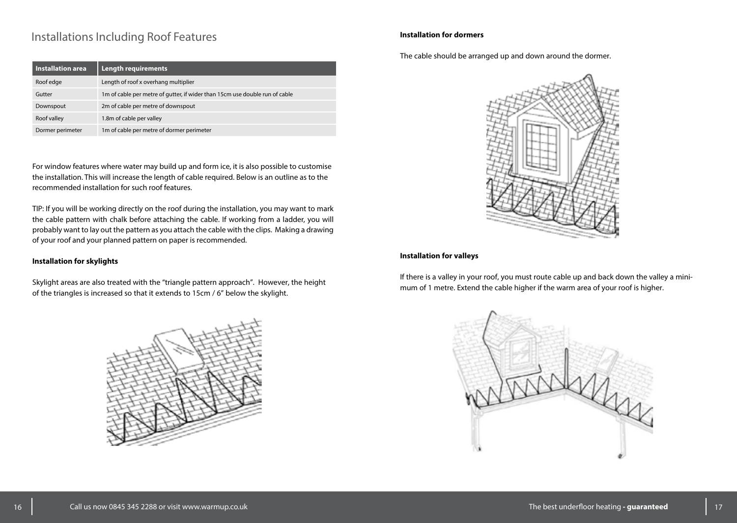## Installations Including Roof Features **Installation for dormers Installation for dormers**

| <b>Installation area</b> | <b>Length requirements</b>                                                  |
|--------------------------|-----------------------------------------------------------------------------|
| Roof edge                | Length of roof x overhang multiplier                                        |
| Gutter                   | 1m of cable per metre of gutter, if wider than 15cm use double run of cable |
| Downspout                | 2m of cable per metre of downspout                                          |
| Roof valley              | 1.8m of cable per valley                                                    |
| Dormer perimeter         | 1m of cable per metre of dormer perimeter                                   |

For window features where water may build up and form ice, it is also possible to customise the installation. This will increase the length of cable required. Below is an outline as to the recommended installation for such roof features.

TIP: If you will be working directly on the roof during the installation, you may want to mark the cable pattern with chalk before attaching the cable. If working from a ladder, you will probably want to lay out the pattern as you attach the cable with the clips. Making a drawing of your roof and your planned pattern on paper is recommended.

#### **Installation for skylights**

Skylight areas are also treated with the "triangle pattern approach". However, the height of the triangles is increased so that it extends to 15cm / 6" below the skylight.



The cable should be arranged up and down around the dormer.



#### **Installation for valleys**

If there is a valley in your roof, you must route cable up and back down the valley a minimum of 1 metre. Extend the cable higher if the warm area of your roof is higher.

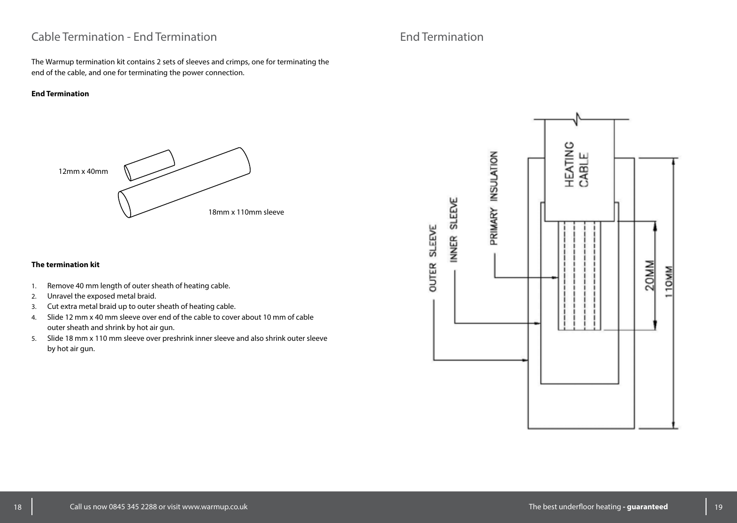## Cable Termination - End Termination

The Warmup termination kit contains 2 sets of sleeves and crimps, one for terminating the end of the cable, and one for terminating the power connection.

#### **End Termination**



#### **The termination kit**

- 1. Remove 40 mm length of outer sheath of heating cable.
- 2. Unravel the exposed metal braid.
- 3. Cut extra metal braid up to outer sheath of heating cable.
- 4. Slide 12 mm x 40 mm sleeve over end of the cable to cover about 10 mm of cable outer sheath and shrink by hot air gun.
- 5. Slide 18 mm x 110 mm sleeve over preshrink inner sleeve and also shrink outer sleeve by hot air gun.

# End Termination

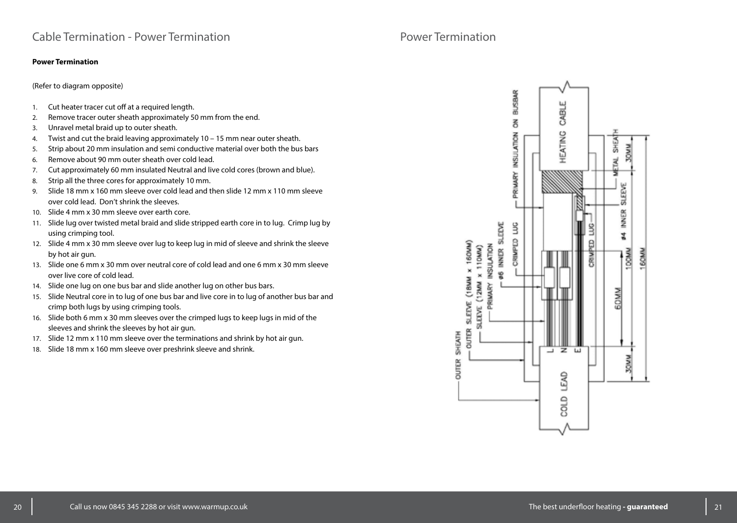#### **Power Termination**

(Refer to diagram opposite)

- 1. Cut heater tracer cut off at a required length.
- 2. Remove tracer outer sheath approximately 50 mm from the end.
- 3. Unravel metal braid up to outer sheath.
- 4. Twist and cut the braid leaving approximately 10 15 mm near outer sheath.
- 5. Strip about 20 mm insulation and semi conductive material over both the bus bars
- 6. Remove about 90 mm outer sheath over cold lead.
- 7. Cut approximately 60 mm insulated Neutral and live cold cores (brown and blue).
- 8. Strip all the three cores for approximately 10 mm.
- 9. Slide 18 mm x 160 mm sleeve over cold lead and then slide 12 mm x 110 mm sleeve over cold lead. Don't shrink the sleeves.
- 10. Slide 4 mm x 30 mm sleeve over earth core.
- 11. Slide lug over twisted metal braid and slide stripped earth core in to lug. Crimp lug by using crimping tool.
- 12. Slide 4 mm x 30 mm sleeve over lug to keep lug in mid of sleeve and shrink the sleeve by hot air gun.
- 13. Slide one 6 mm x 30 mm over neutral core of cold lead and one 6 mm x 30 mm sleeve over live core of cold lead.
- 14. Slide one lug on one bus bar and slide another lug on other bus bars.
- 15. Slide Neutral core in to lug of one bus bar and live core in to lug of another bus bar and crimp both lugs by using crimping tools.
- 16. Slide both 6 mm x 30 mm sleeves over the crimped lugs to keep lugs in mid of the sleeves and shrink the sleeves by hot air gun.
- 17. Slide 12 mm x 110 mm sleeve over the terminations and shrink by hot air gun.
- 18. Slide 18 mm x 160 mm sleeve over preshrink sleeve and shrink.

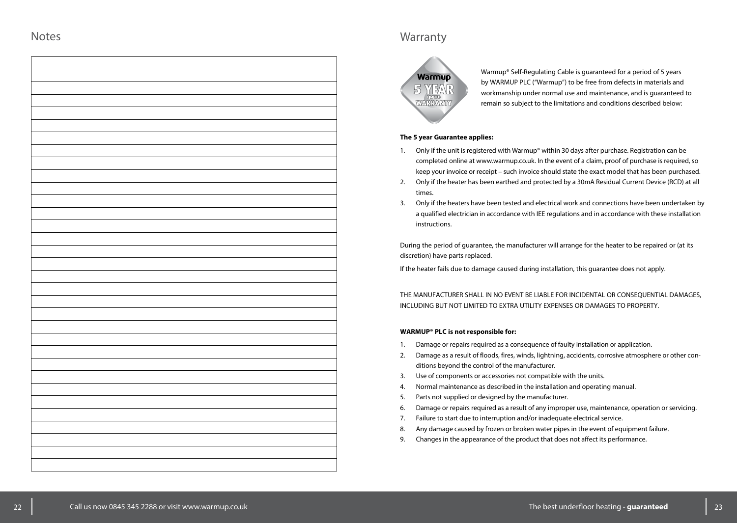## **Warranty**



Warmup® Self-Regulating Cable is guaranteed for a period of 5 years by WARMUP PLC ("Warmup") to be free from defects in materials and workmanship under normal use and maintenance, and is guaranteed to remain so subject to the limitations and conditions described below:

#### **The 5 year Guarantee applies:**

- 1. Only if the unit is registered with Warmup® within 30 days after purchase. Registration can be completed online at www.warmup.co.uk. In the event of a claim, proof of purchase is required, so keep your invoice or receipt – such invoice should state the exact model that has been purchased.
- 2. Only if the heater has been earthed and protected by a 30mA Residual Current Device (RCD) at all times.
- 3. Only if the heaters have been tested and electrical work and connections have been undertaken by a qualified electrician in accordance with IEE regulations and in accordance with these installation instructions.

During the period of guarantee, the manufacturer will arrange for the heater to be repaired or (at its discretion) have parts replaced.

If the heater fails due to damage caused during installation, this guarantee does not apply.

THE MANUFACTURER SHALL IN NO EVENT BE LIABLE FOR INCIDENTAL OR CONSEQUENTIAL DAMAGES, INCLUDING BUT NOT LIMITED TO EXTRA UTILITY EXPENSES OR DAMAGES TO PROPERTY.

#### **WARMUP® PLC is not responsible for:**

- 1. Damage or repairs required as a consequence of faulty installation or application.
- 2. Damage as a result of floods, fires, winds, lightning, accidents, corrosive atmosphere or other conditions beyond the control of the manufacturer.
- 3. Use of components or accessories not compatible with the units.
- 4. Normal maintenance as described in the installation and operating manual.
- 5. Parts not supplied or designed by the manufacturer.
- 6. Damage or repairs required as a result of any improper use, maintenance, operation or servicing.
- 7. Failure to start due to interruption and/or inadequate electrical service.
- 8. Any damage caused by frozen or broken water pipes in the event of equipment failure.
- 9. Changes in the appearance of the product that does not affect its performance.